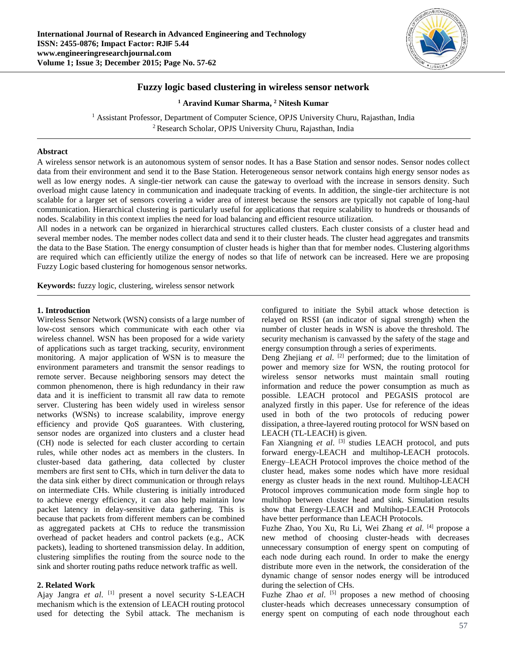

# **Fuzzy logic based clustering in wireless sensor network**

**<sup>1</sup> Aravind Kumar Sharma, <sup>2</sup> Nitesh Kumar**

<sup>1</sup> Assistant Professor, Department of Computer Science, OPJS University Churu, Rajasthan, India <sup>2</sup>Research Scholar, OPJS University Churu, Rajasthan, India

# **Abstract**

A wireless sensor network is an autonomous system of sensor nodes. It has a Base Station and sensor nodes. Sensor nodes collect data from their environment and send it to the Base Station. Heterogeneous sensor network contains high energy sensor nodes as well as low energy nodes. A single-tier network can cause the gateway to overload with the increase in sensors density. Such overload might cause latency in communication and inadequate tracking of events. In addition, the single-tier architecture is not scalable for a larger set of sensors covering a wider area of interest because the sensors are typically not capable of long-haul communication. Hierarchical clustering is particularly useful for applications that require scalability to hundreds or thousands of nodes. Scalability in this context implies the need for load balancing and efficient resource utilization.

All nodes in a network can be organized in hierarchical structures called clusters. Each cluster consists of a cluster head and several member nodes. The member nodes collect data and send it to their cluster heads. The cluster head aggregates and transmits the data to the Base Station. The energy consumption of cluster heads is higher than that for member nodes. Clustering algorithms are required which can efficiently utilize the energy of nodes so that life of network can be increased. Here we are proposing Fuzzy Logic based clustering for homogenous sensor networks.

**Keywords:** fuzzy logic, clustering, wireless sensor network

# **1. Introduction**

Wireless Sensor Network (WSN) consists of a large number of low-cost sensors which communicate with each other via wireless channel. WSN has been proposed for a wide variety of applications such as target tracking, security, environment monitoring. A major application of WSN is to measure the environment parameters and transmit the sensor readings to remote server. Because neighboring sensors may detect the common phenomenon, there is high redundancy in their raw data and it is inefficient to transmit all raw data to remote server. Clustering has been widely used in wireless sensor networks (WSNs) to increase scalability, improve energy efficiency and provide QoS guarantees. With clustering, sensor nodes are organized into clusters and a cluster head (CH) node is selected for each cluster according to certain rules, while other nodes act as members in the clusters. In cluster-based data gathering, data collected by cluster members are first sent to CHs, which in turn deliver the data to the data sink either by direct communication or through relays on intermediate CHs. While clustering is initially introduced to achieve energy efficiency, it can also help maintain low packet latency in delay-sensitive data gathering. This is because that packets from different members can be combined as aggregated packets at CHs to reduce the transmission overhead of packet headers and control packets (e.g., ACK packets), leading to shortened transmission delay. In addition, clustering simplifies the routing from the source node to the sink and shorter routing paths reduce network traffic as well.

# **2. Related Work**

Ajay Jangra et al. [1] present a novel security S-LEACH mechanism which is the extension of LEACH routing protocol used for detecting the Sybil attack. The mechanism is

configured to initiate the Sybil attack whose detection is relayed on RSSI (an indicator of signal strength) when the number of cluster heads in WSN is above the threshold. The security mechanism is canvassed by the safety of the stage and energy consumption through a series of experiments.

Deng Zhejiang et al. <sup>[2]</sup> performed; due to the limitation of power and memory size for WSN, the routing protocol for wireless sensor networks must maintain small routing information and reduce the power consumption as much as possible. LEACH protocol and PEGASIS protocol are analyzed firstly in this paper. Use for reference of the ideas used in both of the two protocols of reducing power dissipation, a three-layered routing protocol for WSN based on LEACH (TL-LEACH) is given.

Fan Xiangning et al. <sup>[3]</sup> studies LEACH protocol, and puts forward energy-LEACH and multihop-LEACH protocols. Energy–LEACH Protocol improves the choice method of the cluster head, makes some nodes which have more residual energy as cluster heads in the next round. Multihop-LEACH Protocol improves communication mode form single hop to multihop between cluster head and sink. Simulation results show that Energy-LEACH and Multihop-LEACH Protocols have better performance than LEACH Protocols.

Fuzhe Zhao, You Xu, Ru Li, Wei Zhang *et al*. [4] propose a new method of choosing cluster-heads with decreases unnecessary consumption of energy spent on computing of each node during each round. In order to make the energy distribute more even in the network, the consideration of the dynamic change of sensor nodes energy will be introduced during the selection of CHs.

Fuzhe Zhao *et al.* <sup>[5]</sup> proposes a new method of choosing cluster-heads which decreases unnecessary consumption of energy spent on computing of each node throughout each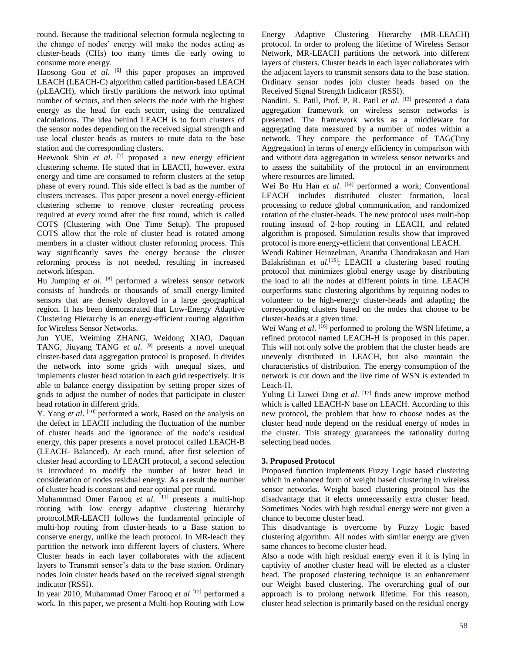round. Because the traditional selection formula neglecting to the change of nodes' energy will make the nodes acting as cluster-heads (CHs) too many times die early owing to consume more energy.

Haosong Gou *et al.* <sup>[6]</sup> this paper proposes an improved LEACH (LEACH-C) algorithm called partition-based LEACH (pLEACH), which firstly partitions the network into optimal number of sectors, and then selects the node with the highest energy as the head for each sector, using the centralized calculations. The idea behind LEACH is to form clusters of the sensor nodes depending on the received signal strength and use local cluster heads as routers to route data to the base station and the corresponding clusters.

Heewook Shin *et al.* <sup>[7]</sup> proposed a new energy efficient clustering scheme. He stated that in LEACH, however, extra energy and time are consumed to reform clusters at the setup phase of every round. This side effect is bad as the number of clusters increases. This paper present a novel energy-efficient clustering scheme to remove cluster recreating process required at every round after the first round, which is called COTS (Clustering with One Time Setup). The proposed COTS allow that the role of cluster head is rotated among members in a cluster without cluster reforming process. This way significantly saves the energy because the cluster reforming process is not needed, resulting in increased network lifespan.

Hu Jumping et al. <sup>[8]</sup> performed a wireless sensor network consists of hundreds or thousands of small energy-limited sensors that are densely deployed in a large geographical region. It has been demonstrated that Low-Energy Adaptive Clustering Hierarchy is an energy-efficient routing algorithm for Wireless Sensor Networks.

Jun YUE, Weiming ZHANG, Weidong XIAO, Daquan TANG, Jiuyang TANG *et al*. [9] presents a novel unequal cluster-based data aggregation protocol is proposed. It divides the network into some grids with unequal sizes, and implements cluster head rotation in each grid respectively. It is able to balance energy dissipation by setting proper sizes of grids to adjust the number of nodes that participate in cluster head rotation in different grids.

Y. Yang *et al.* <sup>[10]</sup> performed a work, Based on the analysis on the defect in LEACH including the fluctuation of the number of cluster heads and the ignorance of the node's residual energy, this paper presents a novel protocol called LEACH-B (LEACH- Balanced). At each round, after first selection of cluster head according to LEACH protocol, a second selection is introduced to modify the number of luster head in consideration of nodes residual energy. As a result the number of cluster head is constant and near optimal per round.

Muhamnmad Omer Farooq *et al*. [11] presents a multi-hop routing with low energy adaptive clustering hierarchy protocol.MR-LEACH follows the fundamental principle of multi-hop routing from cluster-heads to a Base station to conserve energy, unlike the leach protocol. In MR-leach they partition the network into different layers of clusters. Where Cluster heads in each layer collaborates with the adjacent layers to Transmit sensor's data to the base station. Ordinary nodes Join cluster heads based on the received signal strength indicator (RSSI).

In year 2010, Muhammad Omer Farooq *et al* [12] performed a work. In this paper, we present a Multi-hop Routing with Low

Energy Adaptive Clustering Hierarchy (MR-LEACH) protocol. In order to prolong the lifetime of Wireless Sensor Network, MR-LEACH partitions the network into different layers of clusters. Cluster heads in each layer collaborates with the adjacent layers to transmit sensors data to the base station. Ordinary sensor nodes join cluster heads based on the Received Signal Strength Indicator (RSSI).

Nandini. S. Patil, Prof. P. R. Patil *et al.* [13] presented a data aggregation framework on wireless sensor networks is presented. The framework works as a middleware for aggregating data measured by a number of nodes within a network. They compare the performance of TAG(Tiny Aggregation) in terms of energy efficiency in comparison with and without data aggregation in wireless sensor networks and to assess the suitability of the protocol in an environment where resources are limited.

Wei Bo Hu Han *et al.* <sup>[14]</sup> performed a work; Conventional LEACH includes distributed cluster formation, local processing to reduce global communication, and randomized rotation of the cluster-heads. The new protocol uses multi-hop routing instead of 2-hop routing in LEACH, and related algorithm is proposed. Simulation results show that improved protocol is more energy-efficient that conventional LEACH.

Wendi Rabiner Heinzelman, Anantha Chandrakasan and Hari Balakrishnan et al.<sup>[15]</sup>; LEACH a clustering based routing protocol that minimizes global energy usage by distributing the load to all the nodes at different points in time. LEACH outperforms static clustering algorithms by requiring nodes to volunteer to be high-energy cluster-heads and adapting the corresponding clusters based on the nodes that choose to be cluster-heads at a given time.

Wei Wang *et al.* <sup>[16]</sup> performed to prolong the WSN lifetime, a refined protocol named LEACH-H is proposed in this paper. This will not only solve the problem that the cluster heads are unevenly distributed in LEACH, but also maintain the characteristics of distribution. The energy consumption of the network is cut down and the live time of WSN is extended in Leach-H.

Yuling Li Luwei Ding et al. [17] finds anew improve method which is called LEACH-N base on LEACH. According to this new protocol, the problem that how to choose nodes as the cluster head node depend on the residual energy of nodes in the cluster. This strategy guarantees the rationality during selecting head nodes.

# **3. Proposed Protocol**

Proposed function implements Fuzzy Logic based clustering which in enhanced form of weight based clustering in wireless sensor networks. Weight based clustering protocol has the disadvantage that it elects unnecessarily extra cluster head. Sometimes Nodes with high residual energy were not given a chance to become cluster head.

This disadvantage is overcome by Fuzzy Logic based clustering algorithm. All nodes with similar energy are given same chances to become cluster head.

Also a node with high residual energy even if it is lying in captivity of another cluster head will be elected as a cluster head. The proposed clustering technique is an enhancement our Weight based clustering. The overarching goal of our approach is to prolong network lifetime. For this reason, cluster head selection is primarily based on the residual energy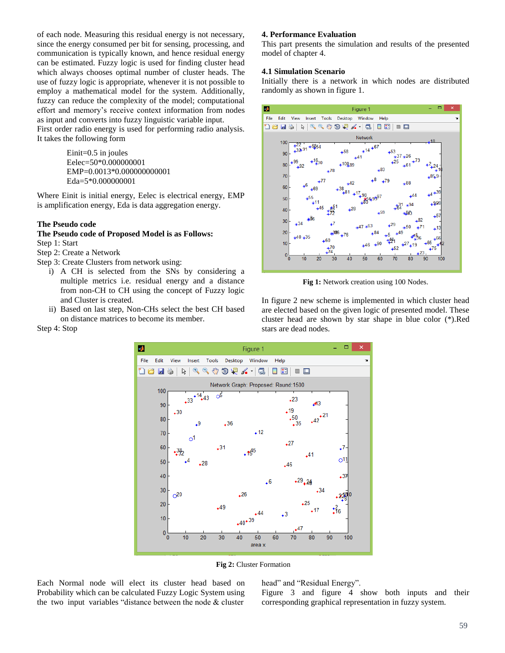of each node. Measuring this residual energy is not necessary, since the energy consumed per bit for sensing, processing, and communication is typically known, and hence residual energy can be estimated. Fuzzy logic is used for finding cluster head which always chooses optimal number of cluster heads. The use of fuzzy logic is appropriate, whenever it is not possible to employ a mathematical model for the system. Additionally, fuzzy can reduce the complexity of the model; computational effort and memory's receive context information from nodes as input and converts into fuzzy linguistic variable input.

First order radio energy is used for performing radio analysis. It takes the following form

> Einit=0.5 in joules Eelec=50\*0.000000001 EMP=0.0013\*0.000000000001 Eda=5\*0.000000001

Where Einit is initial energy, Eelec is electrical energy, EMP is amplification energy, Eda is data aggregation energy.

## **The Pseudo code**

Step 4: Stop

# **The Pseudo code of Proposed Model is as Follows:** Step 1: Start

- Step 2: Create a Network
- Step 3: Create Clusters from network using:
	- i) A CH is selected from the SNs by considering a multiple metrics i.e. residual energy and a distance from non-CH to CH using the concept of Fuzzy logic and Cluster is created.
	- ii) Based on last step, Non-CHs select the best CH based on distance matrices to become its member.

### **4. Performance Evaluation**

This part presents the simulation and results of the presented model of chapter 4.

### **4.1 Simulation Scenario**

Initially there is a network in which nodes are distributed randomly as shown in figure 1.



**Fig 1:** Network creation using 100 Nodes.

In figure 2 new scheme is implemented in which cluster head are elected based on the given logic of presented model. These cluster head are shown by star shape in blue color (\*).Red stars are dead nodes.



**Fig 2:** Cluster Formation

Each Normal node will elect its cluster head based on Probability which can be calculated Fuzzy Logic System using the two input variables "distance between the node  $&$  cluster

head" and "Residual Energy".

Figure 3 and figure 4 show both inputs and their corresponding graphical representation in fuzzy system.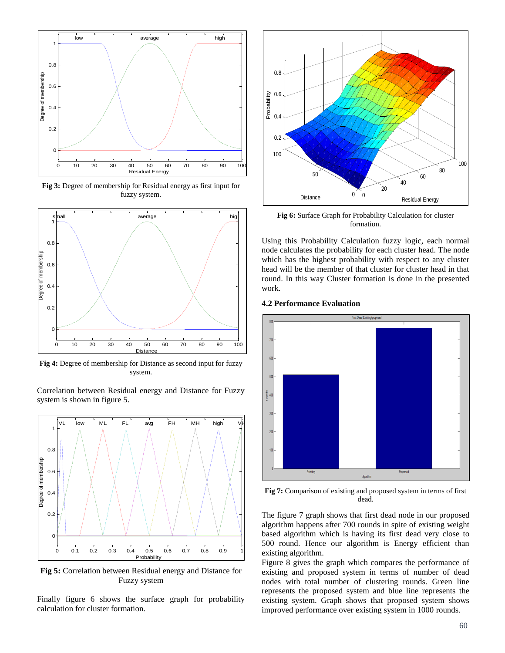

**Fig 3:** Degree of membership for Residual energy as first input for fuzzy system.



**Fig 4:** Degree of membership for Distance as second input for fuzzy system.

Correlation between Residual energy and Distance for Fuzzy system is shown in figure 5.



**Fig 5:** Correlation between Residual energy and Distance for Fuzzy system

Finally figure 6 shows the surface graph for probability calculation for cluster formation.



**Fig 6:** Surface Graph for Probability Calculation for cluster formation.

Using this Probability Calculation fuzzy logic, each normal node calculates the probability for each cluster head. The node which has the highest probability with respect to any cluster head will be the member of that cluster for cluster head in that round. In this way Cluster formation is done in the presented work.

# **4.2 Performance Evaluation**



**Fig 7:** Comparison of existing and proposed system in terms of first dead.

The figure 7 graph shows that first dead node in our proposed algorithm happens after 700 rounds in spite of existing weight based algorithm which is having its first dead very close to 500 round. Hence our algorithm is Energy efficient than existing algorithm.

Figure 8 gives the graph which compares the performance of existing and proposed system in terms of number of dead nodes with total number of clustering rounds. Green line represents the proposed system and blue line represents the existing system. Graph shows that proposed system shows improved performance over existing system in 1000 rounds.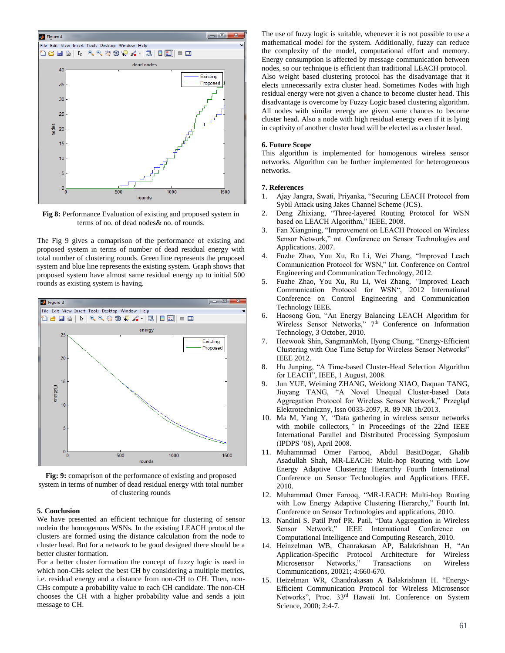

**Fig 8:** Performance Evaluation of existing and proposed system in terms of no. of dead nodes& no. of rounds.

The Fig 9 gives a comaprison of the performance of existing and proposed system in terms of number of dead residual energy with total number of clustering rounds. Green line represents the proposed system and blue line represents the existing system. Graph shows that proposed system have almost same residual energy up to initial 500 rounds as existing system is having.



**Fig: 9:** comaprison of the performance of existing and proposed system in terms of number of dead residual energy with total number of clustering rounds

### **5. Conclusion**

We have presented an efficient technique for clustering of sensor nodein the homogenous WSNs. In the existing LEACH protocol the clusters are formed using the distance calculation from the node to cluster head. But for a network to be good designed there should be a better cluster formation.

For a better cluster formation the concept of fuzzy logic is used in which non-CHs select the best CH by considering a multiple metrics, i.e. residual energy and a distance from non-CH to CH. Then, non-CHs compute a probability value to each CH candidate. The non-CH chooses the CH with a higher probability value and sends a join message to CH.

The use of fuzzy logic is suitable, whenever it is not possible to use a mathematical model for the system. Additionally, fuzzy can reduce the complexity of the model, computational effort and memory. Energy consumption is affected by message communication between nodes, so our technique is efficient than traditional LEACH protocol. Also weight based clustering protocol has the disadvantage that it elects unnecessarily extra cluster head. Sometimes Nodes with high residual energy were not given a chance to become cluster head. This disadvantage is overcome by Fuzzy Logic based clustering algorithm. All nodes with similar energy are given same chances to become cluster head. Also a node with high residual energy even if it is lying in captivity of another cluster head will be elected as a cluster head.

#### **6. Future Scope**

This algorithm is implemented for homogenous wireless sensor networks. Algorithm can be further implemented for heterogeneous networks.

#### **7. References**

- 1. Ajay Jangra, Swati, Priyanka, "Securing LEACH Protocol from Sybil Attack using Jakes Channel Scheme (JCS).
- 2. Deng Zhixiang, "Three-layered Routing Protocol for WSN based on LEACH Algorithm," IEEE, 2008.
- 3. Fan Xiangning, "Improvement on LEACH Protocol on Wireless Sensor Network," mt. Conference on Sensor Technologies and Applications. 2007.
- 4. Fuzhe Zhao, You Xu, Ru Li, Wei Zhang, "Improved Leach Communication Protocol for WSN," Int. Conference on Control Engineering and Communication Technology, 2012.
- 5. Fuzhe Zhao, You Xu, Ru Li, Wei Zhang, *"*Improved Leach Communication Protocol for WSN", 2012 International Conference on Control Engineering and Communication Technology IEEE.
- 6. Haosong Gou, "An Energy Balancing LEACH Algorithm for Wireless Sensor Networks," 7<sup>th</sup> Conference on Information Technology, 3 October, 2010.
- 7. Heewook Shin, SangmanMoh, Ilyong Chung, "Energy-Efficient Clustering with One Time Setup for Wireless Sensor Networks" IEEE 2012.
- 8. Hu Junping, "A Time-based Cluster-Head Selection Algorithm for LEACH", IEEE, 1 August, 2008.
- 9. Jun YUE, Weiming ZHANG, Weidong XIAO, Daquan TANG, Jiuyang TANG, "A Novel Unequal Cluster-based Data Aggregation Protocol for Wireless Sensor Network," Przegląd Elektrotechniczny, Issn 0033-2097, R. 89 NR 1b/2013.
- 10. Ma M, Yang Y, *"*Data gathering in wireless sensor networks with mobile collectors*,"* in Proceedings of the 22nd IEEE International Parallel and Distributed Processing Symposium (IPDPS '08), April 2008.
- 11. Muhamnmad Omer Farooq, Abdul BasitDogar, Ghalib Asadullah Shah, MR-LEACH: Multi-hop Routing with Low Energy Adaptive Clustering Hierarchy Fourth International Conference on Sensor Technologies and Applications IEEE. 2010.
- 12. Muhammad Omer Farooq, "MR-LEACH: Multi-hop Routing with Low Energy Adaptive Clustering Hierarchy," Fourth Int. Conference on Sensor Technologies and applications, 2010.
- 13. Nandini S. Patil Prof PR. Patil, "Data Aggregation in Wireless Sensor Network," IEEE International Conference on Computational Intelligence and Computing Research, 2010.
- 14. Heinzelman WB, Chanrakasan AP, Balakrishnan H, "An Application-Specific Protocol Architecture for Wireless Microsensor Networks," Transactions on Wireless Communications, 20021; 4:660-670.
- 15. Heizelman WR, Chandrakasan A Balakrishnan H. "Energy-Efficient Communication Protocol for Wireless Microsensor Networks", Proc. 33rd Hawaii Int. Conference on System Science, 2000; 2:4-7.